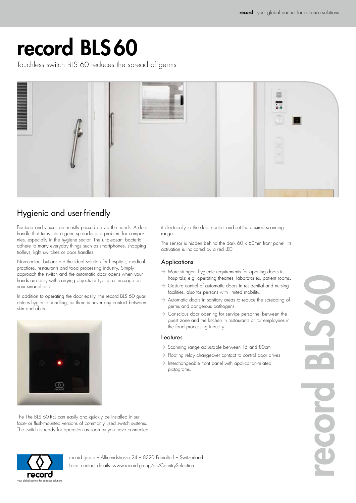## record BLS60

Touchless switch BLS 60 reduces the spread of germs



### Hygienic and user-friendly

Bacteria and viruses are mostly passed on via the hands. A door handle that turns into a germ spreader is a problem for companies, especially in the hygiene sector. The unpleasant bacteria adhere to many everyday things such as smartphones, shopping trolleys, light switches or door handles.

Non-contact buttons are the ideal solution for hospitals, medical practices, restaurants and food processing industry. Simply approach the switch and the automatic door opens when your hands are busy with carrying objects or typing a message on your smartphone.

In addition to operating the door easily, the record BLS 60 guarantees hygienic handling, as there is never any contact between skin and object.

The The BLS 60-REL can easily and quickly be installed in surface- or flush-mounted versions of commonly used switch systems. The switch is ready for operation as soon as you have connected



it electrically to the door control and set the desired scanning range.

The sensor is hidden behind the dark 60 x 60mm front panel. Its activation is indicated by a red LED.

#### Applications

- $\rightarrow$  More stringent hygienic requirements for opening doors in hospitals; e.g. operating theatres, laboratories, patient rooms.
- $\rightarrow$  Gesture control of automatic doors in residential and nursing facilities, also for persons with limited mobility.
- $\rightarrow$  Automatic doors in sanitary areas to reduce the spreading of germs and dangerous pathogens.
- $\rightarrow$  Conscious door opening for service personnel between the guest zone and the kitchen in restaurants or for employees in the food processing industry.

#### Features

- $\rightarrow$  Scanning range adjustable between 15 and 80cm
- $\rightarrow$  Floating relay changeover contact to control door drives
- $\rightarrow$  Interchangeable front panel with application-related pictograms.



record group – Allmendstrasse 24 – 8320 Fehraltorf – Switzerland Local contact details: www.record.group/en/CountrySelection

record BLS60 DIS 60 **OIOSS**